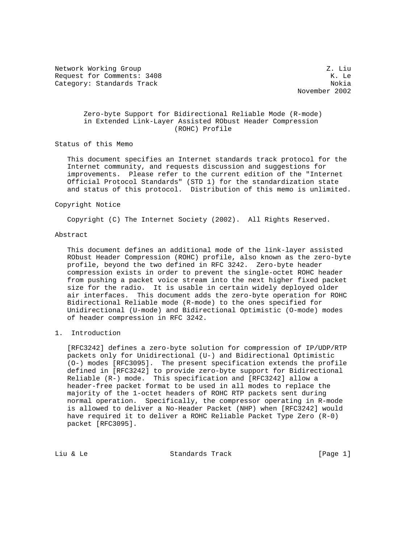Network Working Group 2. Liu Request for Comments: 3408 K. Le Category: Standards Track Nokia Nokia Nokia Nokia Nokia Nokia Nokia Nokia Nokia Nokia Nokia Nokia Nokia Nokia

November 2002

# Zero-byte Support for Bidirectional Reliable Mode (R-mode) in Extended Link-Layer Assisted RObust Header Compression (ROHC) Profile

Status of this Memo

 This document specifies an Internet standards track protocol for the Internet community, and requests discussion and suggestions for improvements. Please refer to the current edition of the "Internet Official Protocol Standards" (STD 1) for the standardization state and status of this protocol. Distribution of this memo is unlimited.

#### Copyright Notice

Copyright (C) The Internet Society (2002). All Rights Reserved.

### Abstract

 This document defines an additional mode of the link-layer assisted RObust Header Compression (ROHC) profile, also known as the zero-byte profile, beyond the two defined in RFC 3242. Zero-byte header compression exists in order to prevent the single-octet ROHC header from pushing a packet voice stream into the next higher fixed packet size for the radio. It is usable in certain widely deployed older air interfaces. This document adds the zero-byte operation for ROHC Bidirectional Reliable mode (R-mode) to the ones specified for Unidirectional (U-mode) and Bidirectional Optimistic (O-mode) modes of header compression in RFC 3242.

## 1. Introduction

 [RFC3242] defines a zero-byte solution for compression of IP/UDP/RTP packets only for Unidirectional (U-) and Bidirectional Optimistic (O-) modes [RFC3095]. The present specification extends the profile defined in [RFC3242] to provide zero-byte support for Bidirectional Reliable (R-) mode. This specification and [RFC3242] allow a header-free packet format to be used in all modes to replace the majority of the 1-octet headers of ROHC RTP packets sent during normal operation. Specifically, the compressor operating in R-mode is allowed to deliver a No-Header Packet (NHP) when [RFC3242] would have required it to deliver a ROHC Reliable Packet Type Zero (R-0) packet [RFC3095].

Liu & Le **Standards Track** [Page 1]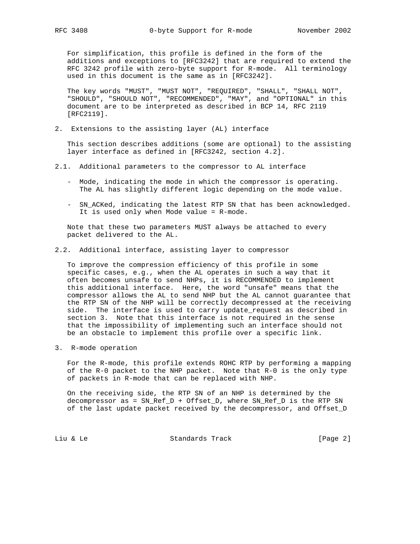For simplification, this profile is defined in the form of the additions and exceptions to [RFC3242] that are required to extend the RFC 3242 profile with zero-byte support for R-mode. All terminology used in this document is the same as in [RFC3242].

 The key words "MUST", "MUST NOT", "REQUIRED", "SHALL", "SHALL NOT", "SHOULD", "SHOULD NOT", "RECOMMENDED", "MAY", and "OPTIONAL" in this document are to be interpreted as described in BCP 14, RFC 2119 [RFC2119].

2. Extensions to the assisting layer (AL) interface

 This section describes additions (some are optional) to the assisting layer interface as defined in [RFC3242, section 4.2].

- 2.1. Additional parameters to the compressor to AL interface
	- Mode, indicating the mode in which the compressor is operating. The AL has slightly different logic depending on the mode value.
	- SN\_ACKed, indicating the latest RTP SN that has been acknowledged. It is used only when Mode value = R-mode.

 Note that these two parameters MUST always be attached to every packet delivered to the AL.

#### 2.2. Additional interface, assisting layer to compressor

 To improve the compression efficiency of this profile in some specific cases, e.g., when the AL operates in such a way that it often becomes unsafe to send NHPs, it is RECOMMENDED to implement this additional interface. Here, the word "unsafe" means that the compressor allows the AL to send NHP but the AL cannot guarantee that the RTP SN of the NHP will be correctly decompressed at the receiving side. The interface is used to carry update\_request as described in section 3. Note that this interface is not required in the sense that the impossibility of implementing such an interface should not be an obstacle to implement this profile over a specific link.

3. R-mode operation

 For the R-mode, this profile extends ROHC RTP by performing a mapping of the R-0 packet to the NHP packet. Note that R-0 is the only type of packets in R-mode that can be replaced with NHP.

 On the receiving side, the RTP SN of an NHP is determined by the decompressor as = SN\_Ref\_D + Offset\_D, where SN\_Ref\_D is the RTP SN of the last update packet received by the decompressor, and Offset\_D

Liu & Le **Standards Track** [Page 2]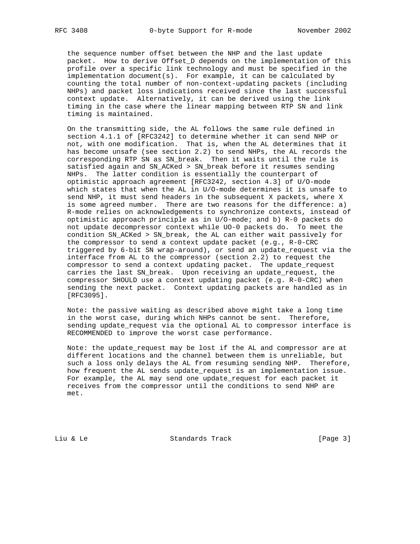the sequence number offset between the NHP and the last update packet. How to derive Offset\_D depends on the implementation of this profile over a specific link technology and must be specified in the implementation document(s). For example, it can be calculated by counting the total number of non-context-updating packets (including NHPs) and packet loss indications received since the last successful context update. Alternatively, it can be derived using the link timing in the case where the linear mapping between RTP SN and link timing is maintained.

 On the transmitting side, the AL follows the same rule defined in section 4.1.1 of [RFC3242] to determine whether it can send NHP or not, with one modification. That is, when the AL determines that it has become unsafe (see section 2.2) to send NHPs, the AL records the corresponding RTP SN as SN\_break. Then it waits until the rule is satisfied again and SN\_ACKed > SN\_break before it resumes sending NHPs. The latter condition is essentially the counterpart of optimistic approach agreement [RFC3242, section 4.3] of U/O-mode which states that when the AL in U/O-mode determines it is unsafe to send NHP, it must send headers in the subsequent X packets, where X is some agreed number. There are two reasons for the difference: a) R-mode relies on acknowledgements to synchronize contexts, instead of optimistic approach principle as in U/O-mode; and b) R-0 packets do not update decompressor context while UO-0 packets do. To meet the condition SN\_ACKed > SN\_break, the AL can either wait passively for the compressor to send a context update packet (e.g., R-0-CRC triggered by 6-bit SN wrap-around), or send an update\_request via the interface from AL to the compressor (section 2.2) to request the compressor to send a context updating packet. The update\_request carries the last SN\_break. Upon receiving an update\_request, the compressor SHOULD use a context updating packet (e.g. R-0-CRC) when sending the next packet. Context updating packets are handled as in [RFC3095].

 Note: the passive waiting as described above might take a long time in the worst case, during which NHPs cannot be sent. Therefore, sending update\_request via the optional AL to compressor interface is RECOMMENDED to improve the worst case performance.

 Note: the update\_request may be lost if the AL and compressor are at different locations and the channel between them is unreliable, but such a loss only delays the AL from resuming sending NHP. Therefore, how frequent the AL sends update\_request is an implementation issue. For example, the AL may send one update\_request for each packet it receives from the compressor until the conditions to send NHP are met.

Liu & Le **Standards Track** [Page 3]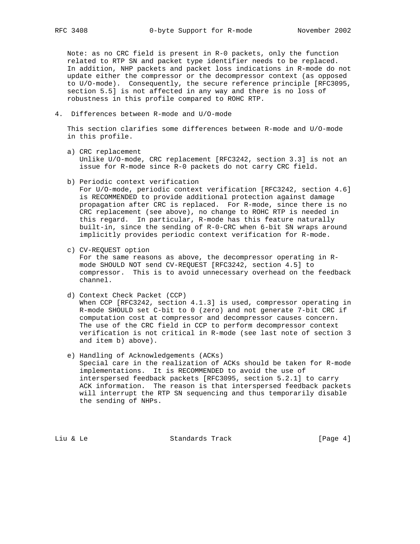Note: as no CRC field is present in R-0 packets, only the function related to RTP SN and packet type identifier needs to be replaced. In addition, NHP packets and packet loss indications in R-mode do not update either the compressor or the decompressor context (as opposed to U/O-mode). Consequently, the secure reference principle [RFC3095, section 5.5] is not affected in any way and there is no loss of robustness in this profile compared to ROHC RTP.

4. Differences between R-mode and U/O-mode

 This section clarifies some differences between R-mode and U/O-mode in this profile.

- a) CRC replacement Unlike U/O-mode, CRC replacement [RFC3242, section 3.3] is not an issue for R-mode since R-0 packets do not carry CRC field.
- b) Periodic context verification

 For U/O-mode, periodic context verification [RFC3242, section 4.6] is RECOMMENDED to provide additional protection against damage propagation after CRC is replaced. For R-mode, since there is no CRC replacement (see above), no change to ROHC RTP is needed in this regard. In particular, R-mode has this feature naturally built-in, since the sending of R-0-CRC when 6-bit SN wraps around implicitly provides periodic context verification for R-mode.

c) CV-REQUEST option

 For the same reasons as above, the decompressor operating in R mode SHOULD NOT send CV-REQUEST [RFC3242, section 4.5] to compressor. This is to avoid unnecessary overhead on the feedback channel.

- d) Context Check Packet (CCP) When CCP [RFC3242, section 4.1.3] is used, compressor operating in R-mode SHOULD set C-bit to 0 (zero) and not generate 7-bit CRC if computation cost at compressor and decompressor causes concern. The use of the CRC field in CCP to perform decompressor context verification is not critical in R-mode (see last note of section 3 and item b) above).
- e) Handling of Acknowledgements (ACKs) Special care in the realization of ACKs should be taken for R-mode implementations. It is RECOMMENDED to avoid the use of interspersed feedback packets [RFC3095, section 5.2.1] to carry ACK information. The reason is that interspersed feedback packets will interrupt the RTP SN sequencing and thus temporarily disable the sending of NHPs.

Liu & Le **Standards Track** [Page 4]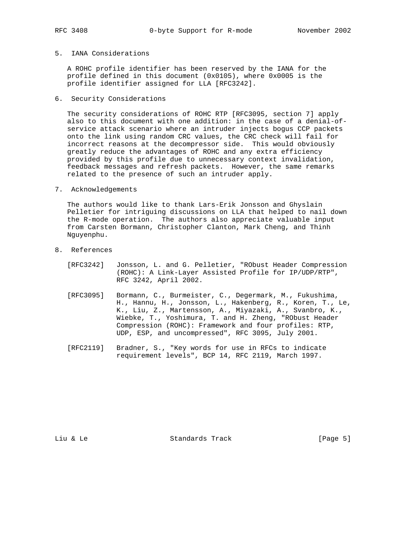## 5. IANA Considerations

 A ROHC profile identifier has been reserved by the IANA for the profile defined in this document (0x0105), where 0x0005 is the profile identifier assigned for LLA [RFC3242].

## 6. Security Considerations

 The security considerations of ROHC RTP [RFC3095, section 7] apply also to this document with one addition: in the case of a denial-of service attack scenario where an intruder injects bogus CCP packets onto the link using random CRC values, the CRC check will fail for incorrect reasons at the decompressor side. This would obviously greatly reduce the advantages of ROHC and any extra efficiency provided by this profile due to unnecessary context invalidation, feedback messages and refresh packets. However, the same remarks related to the presence of such an intruder apply.

7. Acknowledgements

 The authors would like to thank Lars-Erik Jonsson and Ghyslain Pelletier for intriguing discussions on LLA that helped to nail down the R-mode operation. The authors also appreciate valuable input from Carsten Bormann, Christopher Clanton, Mark Cheng, and Thinh Nguyenphu.

- 8. References
	- [RFC3242] Jonsson, L. and G. Pelletier, "RObust Header Compression (ROHC): A Link-Layer Assisted Profile for IP/UDP/RTP", RFC 3242, April 2002.
	- [RFC3095] Bormann, C., Burmeister, C., Degermark, M., Fukushima, H., Hannu, H., Jonsson, L., Hakenberg, R., Koren, T., Le, K., Liu, Z., Martensson, A., Miyazaki, A., Svanbro, K., Wiebke, T., Yoshimura, T. and H. Zheng, "RObust Header Compression (ROHC): Framework and four profiles: RTP, UDP, ESP, and uncompressed", RFC 3095, July 2001.
	- [RFC2119] Bradner, S., "Key words for use in RFCs to indicate requirement levels", BCP 14, RFC 2119, March 1997.

Liu & Le **Standards Track** [Page 5]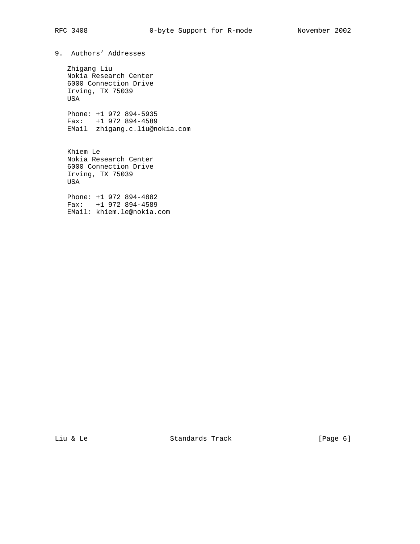9. Authors' Addresses

 Zhigang Liu Nokia Research Center 6000 Connection Drive Irving, TX 75039 USA

 Phone: +1 972 894-5935 Fax: +1 972 894-4589 EMail zhigang.c.liu@nokia.com

 Khiem Le Nokia Research Center 6000 Connection Drive Irving, TX 75039 USA

 Phone: +1 972 894-4882 Fax: +1 972 894-4589 EMail: khiem.le@nokia.com

Liu & Le **Standards Track** [Page 6]